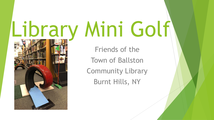# Library Mini Golf

Friends of the Town of Ballston Community Library Burnt Hills, NY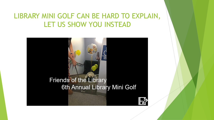#### LIBRARY MINI GOLF CAN BE HARD TO EXPLAIN, LET US SHOW YOU INSTEAD

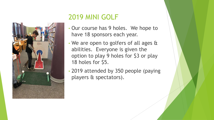

## 2019 MINI GOLF

- Our course has 9 holes. We hope to have 18 sponsors each year.
- We are open to golfers of all ages & abilities. Everyone is given the option to play 9 holes for \$3 or play 18 holes for \$5.
- 2019 attended by 350 people (paying players & spectators).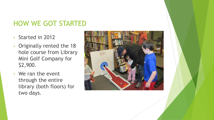#### HOW WE GOT STARTED

- Started in 2012
- Originally rented the 18 hole course from Library Mini Golf Company for \$2,900.
- We ran the event through the entire library (both floors) for two days.

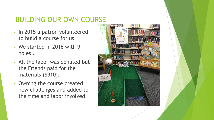## BUILDING OUR OWN COURSE

- In 2015 a patron volunteered to build a course for us!
- We started in 2016 with 9 holes .
- All the labor was donated but the Friends paid for the materials (\$910).
- Owning the course created new challenges and added to the time and labor involved.

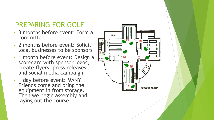# PREPARING FOR GOLF

- 3 months before event: Form a committee
- 2 months before event: Solicit local businesses to be sponsors
- 1 month before event: Design a scorecard with sponsor logos, create flyers, press releases and social media campaign
- 1 day before event: MANY Friends come and bring the equipment in from storage. Then we begin assembly and laying out the course.

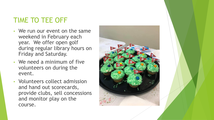## TIME TO TEE OFF

- We run our event on the same weekend in February each year. We offer open golf during regular library hours on Friday and Saturday.
- We need a minimum of five volunteers on during the event.
- Volunteers collect admission and hand out scorecards, provide clubs, sell concessions and monitor play on the course.

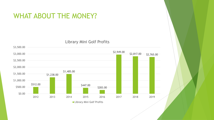#### WHAT ABOUT THE MONEY?



Library Mini Golf Profits